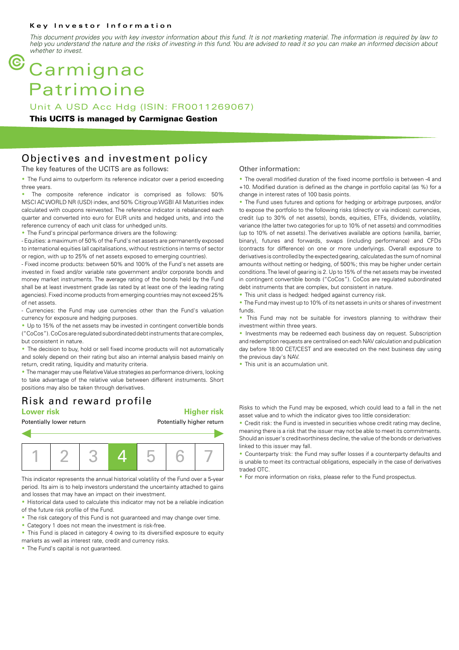#### **Key Investor Information**

*This document provides you with key investor information about this fund. It is not marketing material. The information is required by law to help you understand the nature and the risks of investing in this fund. You are advised to read it so you can make an informed decision about whether to invest.*

# **Carmignac** Patrimoine

Unit A USD Acc Hdg (ISIN: FR0011269067)

#### **This UCITS is managed by Carmignac Gestion**

### Objectives and investment policy

The key features of the UCITS are as follows:

• The Fund aims to outperform its reference indicator over a period exceeding three years.

The composite reference indicator is comprised as follows: 50% MSCI AC WORLD NR (USD) index, and 50% Citigroup WGBI All Maturities index calculated with coupons reinvested. The reference indicator is rebalanced each quarter and converted into euro for EUR units and hedged units, and into the reference currency of each unit class for unhedged units.

• The Fund's principal performance drivers are the following:

- Equities: a maximum of 50% of the Fund's net assets are permanently exposed to international equities (all capitalisations, without restrictions in terms of sector or region, with up to 25% of net assets exposed to emerging countries).

- Fixed income products: between 50% and 100% of the Fund's net assets are invested in fixed and/or variable rate government and/or corporate bonds and money market instruments. The average rating of the bonds held by the Fund shall be at least investment grade (as rated by at least one of the leading rating agencies). Fixed income products from emerging countries may not exceed 25% of net assets.

- Currencies: the Fund may use currencies other than the Fund's valuation currency for exposure and hedging purposes.

• Up to 15% of the net assets may be invested in contingent convertible bonds ("CoCos"). CoCos are regulated subordinated debt instruments that are complex, but consistent in nature.

• The decision to buy, hold or sell fixed income products will not automatically and solely depend on their rating but also an internal analysis based mainly on return, credit rating, liquidity and maturity criteria.

• The manager may use Relative Value strategies as performance drivers, looking to take advantage of the relative value between different instruments. Short positions may also be taken through derivatives.

## Risk and reward profile

#### **Lower risk Higher risk**



This indicator represents the annual historical volatility of the Fund over a 5-year period. Its aim is to help investors understand the uncertainty attached to gains and losses that may have an impact on their investment.

• Historical data used to calculate this indicator may not be a reliable indication of the future risk profile of the Fund.

- The risk category of this Fund is not guaranteed and may change over time.
- Category 1 does not mean the investment is risk-free.
- This Fund is placed in category 4 owing to its diversified exposure to equity
- markets as well as interest rate, credit and currency risks.

• The Fund's capital is not quaranteed.

#### Other information:

• The overall modified duration of the fixed income portfolio is between -4 and +10. Modified duration is defined as the change in portfolio capital (as %) for a change in interest rates of 100 basis points.

• The Fund uses futures and options for hedging or arbitrage purposes, and/or to expose the portfolio to the following risks (directly or via indices): currencies, credit (up to 30% of net assets), bonds, equities, ETFs, dividends, volatility, variance (the latter two categories for up to 10% of net assets) and commodities (up to 10% of net assets). The derivatives available are options (vanilla, barrier, binary), futures and forwards, swaps (including performance) and CFDs (contracts for difference) on one or more underlyings. Overall exposure to derivatives is controlled by the expected gearing, calculated as the sum of nominal amounts without netting or hedging, of 500%; this may be higher under certain conditions. The level of gearing is 2. Up to 15% of the net assets may be invested in contingent convertible bonds ("CoCos"). CoCos are regulated subordinated debt instruments that are complex, but consistent in nature.

• This unit class is hedged: hedged against currency risk.

• The Fund may invest up to 10% of its net assets in units or shares of investment funds.

• This Fund may not be suitable for investors planning to withdraw their investment within three years.

• Investments may be redeemed each business day on request. Subscription and redemption requests are centralised on each NAV calculation and publication day before 18:00 CET/CEST and are executed on the next business day using the previous day's NAV.

• This unit is an accumulation unit.

Risks to which the Fund may be exposed, which could lead to a fall in the net asset value and to which the indicator gives too little consideration:

• Credit risk: the Fund is invested in securities whose credit rating may decline. meaning there is a risk that the issuer may not be able to meet its commitments. Should an issuer's creditworthiness decline, the value of the bonds or derivatives linked to this issuer may fall.

• Counterparty trisk: the Fund may suffer losses if a counterparty defaults and is unable to meet its contractual obligations, especially in the case of derivatives traded OTC.

• For more information on risks, please refer to the Fund prospectus.